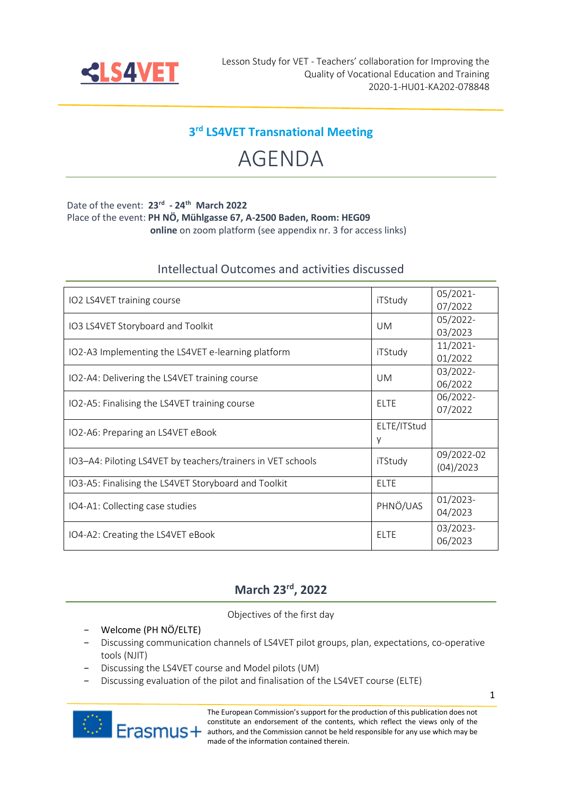

### **3 rd LS4VET Transnational Meeting**

# AGENDA

#### Date of the event: **23rd - 24th March 2022**

Place of the event: **PH NÖ, Mühlgasse 67, A-2500 Baden, Room: HEG09** 

 **online** on zoom platform (see appendix nr. 3 for access links)

#### Intellectual Outcomes and activities discussed

| IO2 LS4VET training course                                  | iTStudy     | 05/2021-    |
|-------------------------------------------------------------|-------------|-------------|
|                                                             |             | 07/2022     |
| IO3 LS4VET Storyboard and Toolkit                           | <b>UM</b>   | 05/2022-    |
|                                                             |             | 03/2023     |
|                                                             | iTStudy     | 11/2021-    |
| IO2-A3 Implementing the LS4VET e-learning platform          |             | 01/2022     |
| IO2-A4: Delivering the LS4VET training course               | <b>UM</b>   | 03/2022-    |
|                                                             |             | 06/2022     |
| IO2-A5: Finalising the LS4VET training course               | <b>ELTE</b> | 06/2022-    |
|                                                             |             | 07/2022     |
|                                                             | ELTE/ITStud |             |
| IO2-A6: Preparing an LS4VET eBook                           | У           |             |
|                                                             | iTStudy     | 09/2022-02  |
| IO3-A4: Piloting LS4VET by teachers/trainers in VET schools |             | (04)/2023   |
| IO3-A5: Finalising the LS4VET Storyboard and Toolkit        | <b>ELTE</b> |             |
|                                                             | PHNÖ/UAS    | $01/2023 -$ |
| IO4-A1: Collecting case studies                             |             | 04/2023     |
|                                                             |             | 03/2023-    |
| IO4-A2: Creating the LS4VET eBook                           | <b>ELTE</b> | 06/2023     |

#### **March 23rd, 2022**

Objectives of the first day

- − Welcome (PH NÖ/ELTE)
- − Discussing communication channels of LS4VET pilot groups, plan, expectations, co-operative tools (NJIT)
- − Discussing the LS4VET course and Model pilots (UM)
- Discussing evaluation of the pilot and finalisation of the LS4VET course (ELTE)



The European Commission's support for the production of this publication does not constitute an endorsement of the contents, which reflect the views only of the authors, and the Commission cannot be held responsible for any use which may be **PAGE MULLER MULLER MANUS** made of the information contained therein.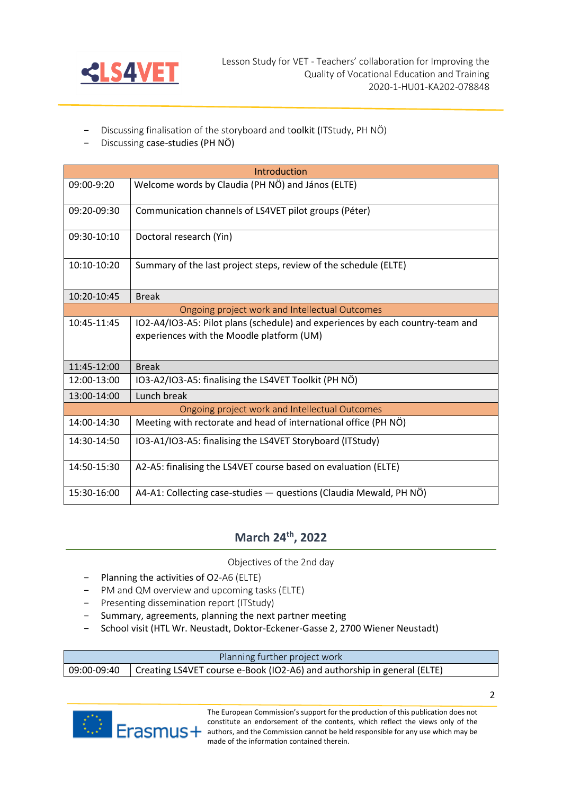

- Discussing finalisation of the storyboard and toolkit (ITStudy, PH NÖ)
- Discussing case-studies (PH NÖ)

| Introduction                                   |                                                                                                                             |  |
|------------------------------------------------|-----------------------------------------------------------------------------------------------------------------------------|--|
| 09:00-9:20                                     | Welcome words by Claudia (PH NÖ) and János (ELTE)                                                                           |  |
| 09:20-09:30                                    | Communication channels of LS4VET pilot groups (Péter)                                                                       |  |
| $09:30-10:10$                                  | Doctoral research (Yin)                                                                                                     |  |
| $10:10-10:20$                                  | Summary of the last project steps, review of the schedule (ELTE)                                                            |  |
| 10:20-10:45                                    | <b>Break</b>                                                                                                                |  |
| Ongoing project work and Intellectual Outcomes |                                                                                                                             |  |
| 10:45-11:45                                    | IO2-A4/IO3-A5: Pilot plans (schedule) and experiences by each country-team and<br>experiences with the Moodle platform (UM) |  |
| 11:45-12:00                                    | <b>Break</b>                                                                                                                |  |
| 12:00-13:00                                    | IO3-A2/IO3-A5: finalising the LS4VET Toolkit (PH NÖ)                                                                        |  |
| 13:00-14:00                                    | Lunch break                                                                                                                 |  |
| Ongoing project work and Intellectual Outcomes |                                                                                                                             |  |
| 14:00-14:30                                    | Meeting with rectorate and head of international office (PH NÖ)                                                             |  |
| 14:30-14:50                                    | IO3-A1/IO3-A5: finalising the LS4VET Storyboard (ITStudy)                                                                   |  |
| 14:50-15:30                                    | A2-A5: finalising the LS4VET course based on evaluation (ELTE)                                                              |  |
| 15:30-16:00                                    | A4-A1: Collecting case-studies - questions (Claudia Mewald, PH NÖ)                                                          |  |

## **March 24th, 2022**

Objectives of the 2nd day

- − Planning the activities of O2-A6 (ELTE)
- − PM and QM overview and upcoming tasks (ELTE)
- − Presenting dissemination report (ITStudy)
- − Summary, agreements, planning the next partner meeting
- − School visit (HTL Wr. Neustadt, Doktor-Eckener-Gasse 2, 2700 Wiener Neustadt)

Planning further project work

09:00-09:40 | Creating LS4VET course e-Book (IO2-A6) and authorship in general (ELTE)



The European Commission's support for the production of this publication does not constitute an endorsement of the contents, which reflect the views only of the authors, and the Commission cannot be held responsible for any use which may be **PAGE MULLER MULLER MANUS** made of the information contained therein.